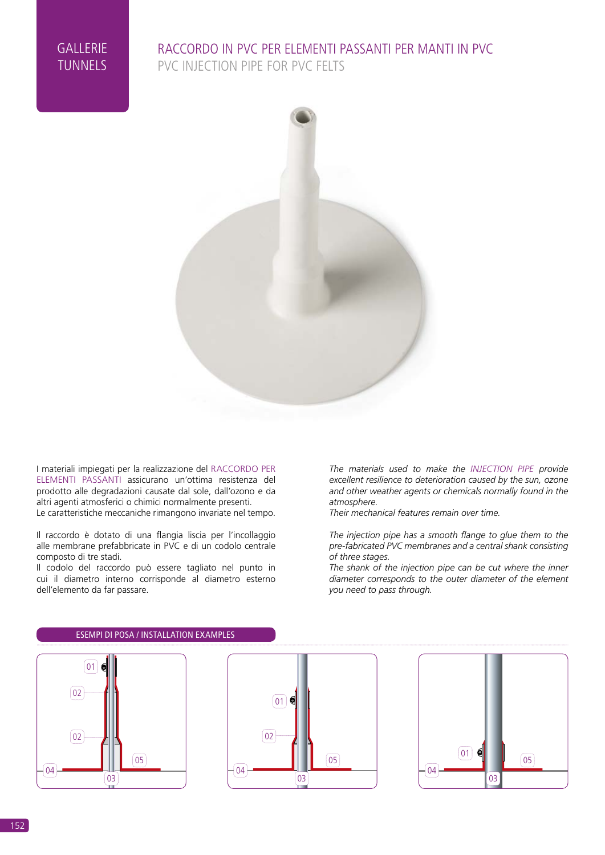#### RACCORDO IN PVC PER ELEMENTI PASSANTI PER MANTI IN PVC PVC INJECTION PIPE FOR PVC FELTS



I materiali impiegati per la realizzazione del RACCORDO PER ELEMENTI PASSANTI assicurano un'ottima resistenza del prodotto alle degradazioni causate dal sole, dall'ozono e da altri agenti atmosferici o chimici normalmente presenti. Le caratteristiche meccaniche rimangono invariate nel tempo.

Il raccordo è dotato di una flangia liscia per l'incollaggio alle membrane prefabbricate in PVC e di un codolo centrale composto di tre stadi.

Il codolo del raccordo può essere tagliato nel punto in cui il diametro interno corrisponde al diametro esterno dell'elemento da far passare.

*The materials used to make the INJECTION PIPE provide excellent resilience to deterioration caused by the sun, ozone and other weather agents or chemicals normally found in the atmosphere.*

*Their mechanical features remain over time.*

*The injection pipe has a smooth flange to glue them to the pre-fabricated PVC membranes and a central shank consisting of three stages.*

*The shank of the injection pipe can be cut where the inner diameter corresponds to the outer diameter of the element you need to pass through.* 



# ESEMPI DI POSA / INSTALLATION EXAMPLES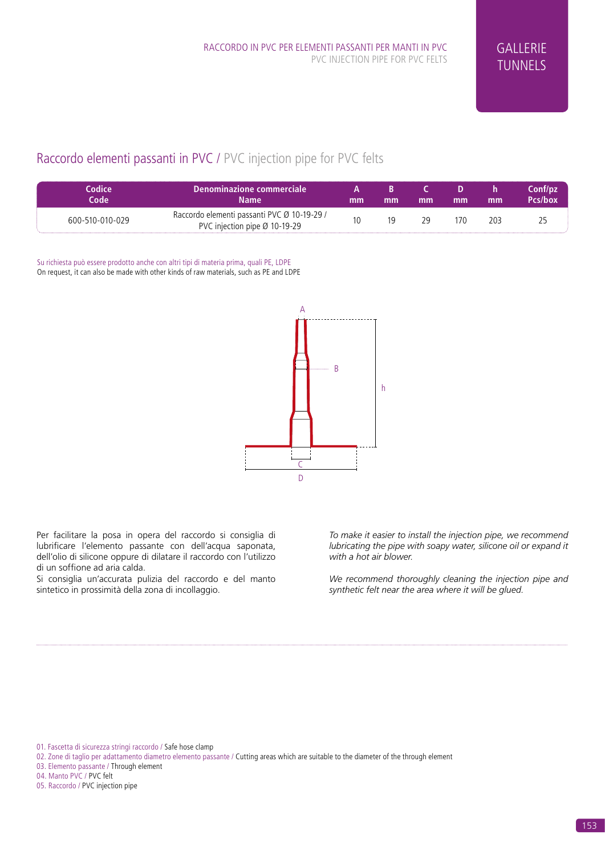# Raccordo elementi passanti in PVC / PVC injection pipe for PVC felts

| Codice<br>Code  | Denominazione commerciale<br><b>Name</b>                                                 | mm | mm | mm | mm  | mm  | Conf/pz<br>Pcs/box |
|-----------------|------------------------------------------------------------------------------------------|----|----|----|-----|-----|--------------------|
| 600-510-010-029 | Raccordo elementi passanti PVC Ø 10-19-29 /<br>PVC injection pipe $\varnothing$ 10-19-29 |    |    | 29 | 170 | 203 |                    |

Su richiesta può essere prodotto anche con altri tipi di materia prima, quali PE, LDPE On request, it can also be made with other kinds of raw materials, such as PE and LDPE



Per facilitare la posa in opera del raccordo si consiglia di lubrificare l'elemento passante con dell'acqua saponata, dell'olio di silicone oppure di dilatare il raccordo con l'utilizzo di un soffione ad aria calda.

Si consiglia un'accurata pulizia del raccordo e del manto sintetico in prossimità della zona di incollaggio.

*To make it easier to install the injection pipe, we recommend lubricating the pipe with soapy water, silicone oil or expand it with a hot air blower.*

synthetic felt near the area wh<mark>erAitTMUbeRgIU&dGLESE]]</mark> *We recommend thoroughly cleaning the injection pipe and* 

01. Fascetta di sicurezza stringi raccordo / Safe hose clamp

- 03. Elemento passante / Through element
- 04. Manto PVC / PVC felt

05. Raccordo / PVC injection pipe

<sup>02.</sup> Zone di taglio per adattamento diametro elemento passante / Cutting areas which are suitable to the diameter of the through element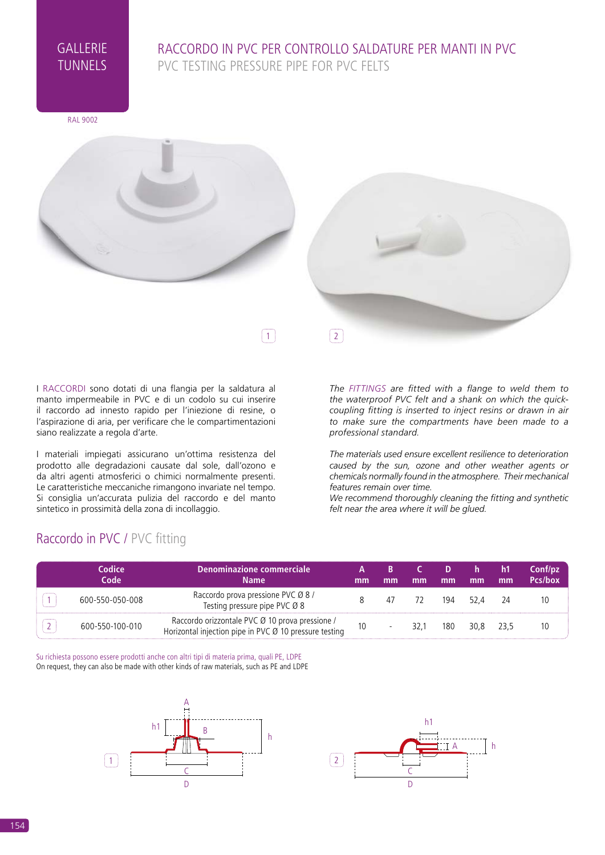### RACCORDO IN PVC PER CONTROLLO SALDATURE PER MANTI IN PVC PVC TESTING PRESSURE PIPE FOR PVC FELTS

RAL 9002



I RACCORDI sono dotati di una flangia per la saldatura al manto impermeabile in PVC e di un codolo su cui inserire il raccordo ad innesto rapido per l'iniezione di resine, o l'aspirazione di aria, per verificare che le compartimentazioni siano realizzate a regola d'arte.

I materiali impiegati assicurano un'ottima resistenza del prodotto alle degradazioni causate dal sole, dall'ozono e da altri agenti atmosferici o chimici normalmente presenti. Le caratteristiche meccaniche rimangono invariate nel tempo. Si consiglia un'accurata pulizia del raccordo e del manto sintetico in prossimità della zona di incollaggio.

Raccordo in PVC / PVC fitting

*The FITTINGS are fitted with a flange to weld them to the waterproof PVC felt and a shank on which the quickcoupling fitting is inserted to inject resins or drawn in air to make sure the compartments have been made to a professional standard.*

*The materials used ensure excellent resilience to deterioration caused by the sun, ozone and other weather agents or chemicals normally found in the atmosphere. Their mechanical features remain over time.*

*We recommend thoroughly cleaning the fitting and synthetic felt near the area where it will be glued.*

#### PARTICOLARI / DETAILS **Codice Code Denominazione commerciale Name A mm B mm C mm D mm h mm h1 mm Conf/pz Pcs/box**  $\boxed{1}$  600-550-050-008 Raccordo prova pressione PVC Ø 8 / Ecoldo prova pressione PVC Ø 8 december 1949 - 1949 - 1949 - 1949 - 1949 - 1949 - 1949 - 1950 - 1960 - 1970 - 1<br>Testing pressure pipe PVC Ø 8  $\overline{2}$  600-550-100-010 Raccordo orizzontale PVC Ø 10 prova pressione / Horizontal injection pipe in PVC Ø 10 prova pressione / 10 - 32,1 180 30,8 23,5 10

Su richiesta possono essere prodotti anche con altri tipi di materia prima, quali PE, LDPE On request, they can also be made with other kinds of raw materials, such as PE and LDPE



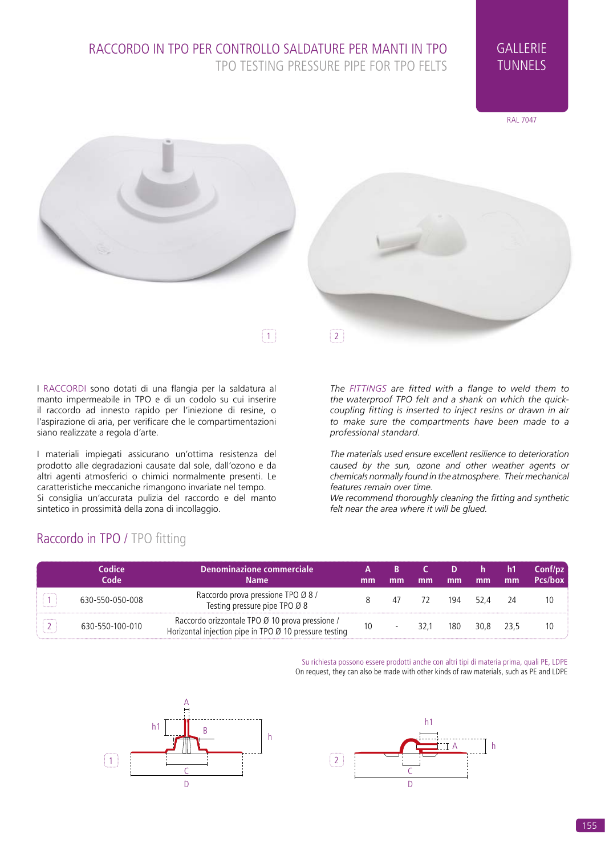



I RACCORDI sono dotati di una flangia per la saldatura al manto impermeabile in TPO e di un codolo su cui inserire il raccordo ad innesto rapido per l'iniezione di resine, o l'aspirazione di aria, per verificare che le compartimentazioni siano realizzate a regola d'arte.

I materiali impiegati assicurano un'ottima resistenza del prodotto alle degradazioni causate dal sole, dall'ozono e da altri agenti atmosferici o chimici normalmente presenti. Le caratteristiche meccaniche rimangono invariate nel tempo. Si consiglia un'accurata pulizia del raccordo e del manto sintetico in prossimità della zona di incollaggio.

Raccordo in TPO / TPO fitting

*The FITTINGS are fitted with a flange to weld them to the waterproof TPO felt and a shank on which the quickcoupling fitting is inserted to inject resins or drawn in air to make sure the compartments have been made to a professional standard.*

*The materials used ensure excellent resilience to deterioration caused by the sun, ozone and other weather agents or chemicals normally found in the atmosphere. Their mechanical features remain over time.*

*We recommend thoroughly cleaning the fitting and synthetic felt near the area where it will be glued.*

#### PARTICOLARI / [[INGLESE]] **Codice Code Denominazione commerciale Name A mm B mm C mm D mm h mm h1 mm Conf/pz Pcs/box**  $\boxed{1}$  630-550-050-008 Raccordo prova pressione TPO Ø 8 / Testing pressure pipe TPO Ø 8 december 1988 december 1988 december 1988 december 1988 december 1988 december 1<br>Testing pressure pipe TPO Ø 8  $\boxed{2}$  630-550-100-010 Raccordo orizzontale TPO  $\cancel{a}$  10 prova pressione / Horizontal injection pipe in TPO Ø 10 prova pressione / 10 dec = 10 minutal injection pipe in TPO Ø 10 pressure testing PARTICOLARI / DETAILS

Su richiesta possono essere prodotti anche con altri tipi di materia prima, quali PE, LDPE On request, they can also be made with other kinds of raw materials, such as PE and LDPE



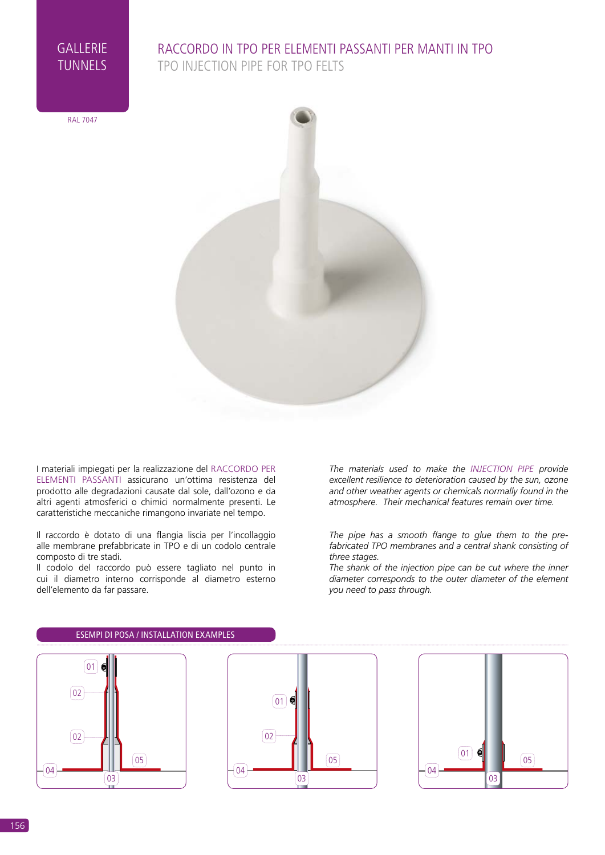### RACCORDO IN TPO PER ELEMENTI PASSANTI PER MANTI IN TPO TPO INJECTION PIPE FOR TPO FELTS

RAL 7047



I materiali impiegati per la realizzazione del RACCORDO PER ELEMENTI PASSANTI assicurano un'ottima resistenza del prodotto alle degradazioni causate dal sole, dall'ozono e da altri agenti atmosferici o chimici normalmente presenti. Le caratteristiche meccaniche rimangono invariate nel tempo.

Il raccordo è dotato di una flangia liscia per l'incollaggio alle membrane prefabbricate in TPO e di un codolo centrale composto di tre stadi.

Il codolo del raccordo può essere tagliato nel punto in cui il diametro interno corrisponde al diametro esterno dell'elemento da far passare.

*The materials used to make the INJECTION PIPE provide excellent resilience to deterioration caused by the sun, ozone and other weather agents or chemicals normally found in the atmosphere. Their mechanical features remain over time.*

*The pipe has a smooth flange to glue them to the prefabricated TPO membranes and a central shank consisting of three stages.*

*The shank of the injection pipe can be cut where the inner diameter corresponds to the outer diameter of the element you need to pass through.* 



#### ESEMPI DI POSA / INSTALLATION EXAMPLES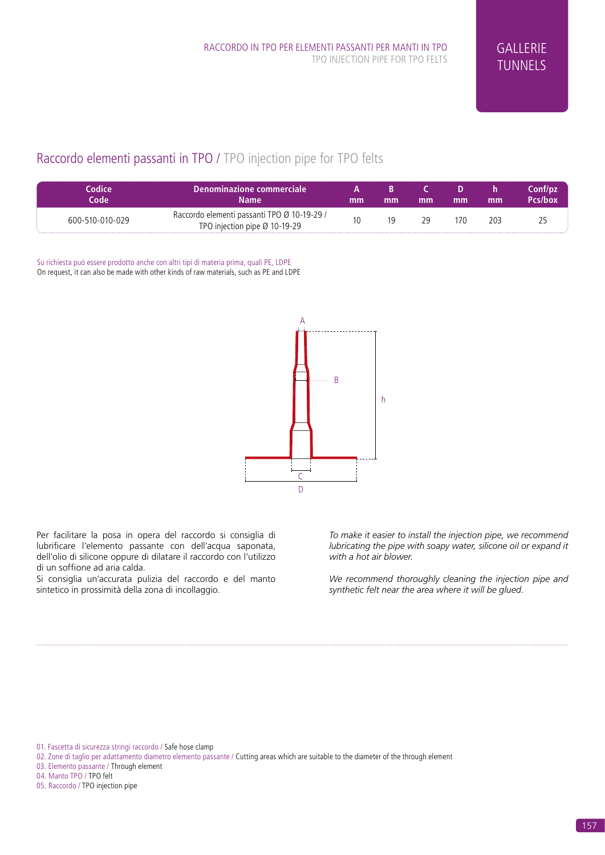# Raccordo elementi passanti in TPO / TPO injection pipe for TPO felts

| Codice<br>Code  | l Denominazione commerciale :<br><b>Name</b>                                             | mm | mm | mm | mm  | mm  | Conf/pz<br>Pcs/box |
|-----------------|------------------------------------------------------------------------------------------|----|----|----|-----|-----|--------------------|
| 600-510-010-029 | Raccordo elementi passanti TPO Ø 10-19-29 /<br>TPO injection pipe $\varnothing$ 10-19-29 |    | 19 | 79 | 170 | 203 |                    |

Su richiesta può essere prodotto anche con altri tipi di materia prima, quali PE, LDPE On request, it can also be made with other kinds of raw materials, such as PE and LDPE



Per facilitare la posa in opera del raccordo si consiglia di lubrificare l'elemento passante con dell'acqua saponata, dell'olio di silicone oppure di dilatare il raccordo con l'utilizzo di un soffione ad aria calda.

Si consiglia un'accurata pulizia del raccordo e del manto sintetico in prossimità della zona di incollaggio.

*To make it easier to install the injection pipe, we recommend lubricating the pipe with soapy water, silicone oil or expand it with a hot air blower.*

synthetic felt near the area wh<mark>erAitTMUbeRgIU&dGLESE]]</mark> *We recommend thoroughly cleaning the injection pipe and* 

01. Fascetta di sicurezza stringi raccordo / Safe hose clamp

02. Zone di taglio per adattamento diametro elemento passante / Cutting areas which are suitable to the diameter of the through element

03. Elemento passante / Through element

04. Manto TPO / TPO felt

05. Raccordo / TPO injection pipe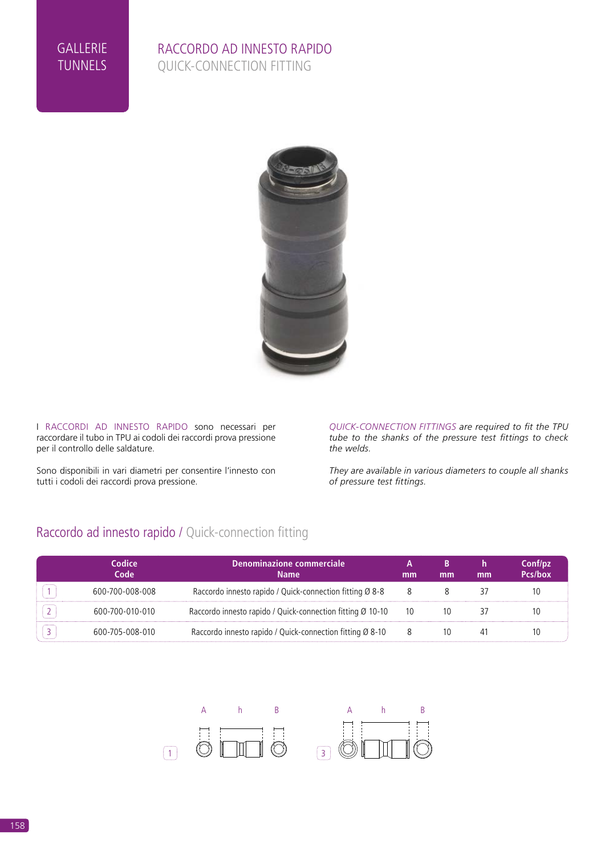#### RACCORDO AD INNESTO RAPIDO QUICK-CONNECTION FITTING



I RACCORDI AD INNESTO RAPIDO sono necessari per raccordare il tubo in TPU ai codoli dei raccordi prova pressione per il controllo delle saldature.

Sono disponibili in vari diametri per consentire l'innesto con tutti i codoli dei raccordi prova pressione.

*QUICK-CONNECTION FITTINGS are required to fit the TPU tube to the shanks of the pressure test fittings to check the welds.*

*They are available in various diameters to couple all shanks of pressure test fittings.*

# Raccordo ad innesto rapido / Quick-connection fitting

| Codice<br>Code  | Denominazione commerciale<br><b>Name</b>                               | mm | mm | mm                       | Conf/pz<br>Pcs/box |
|-----------------|------------------------------------------------------------------------|----|----|--------------------------|--------------------|
| 600-700-008-008 | Raccordo innesto rapido / Quick-connection fitting Ø 8-8               |    |    |                          |                    |
| 600-700-010-010 | Raccordo innesto rapido / Quick-connection fitting $\varnothing$ 10-10 | 10 |    |                          |                    |
| 600-705-008-010 | Raccordo innesto rapido / Quick-connection fitting Ø 8-10              |    |    | 10 PARTICOLARI / DETAILS |                    |